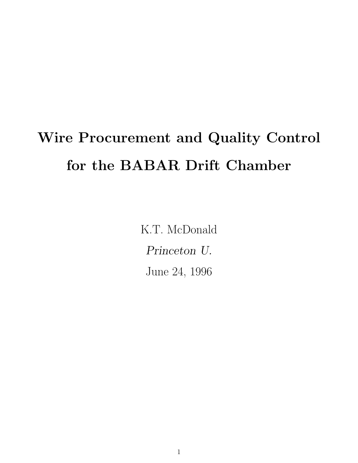# Wire Procurement and Quality Control for the BABAR Drift Chamber

K.T. McDonald Princeton U. June 24, 1996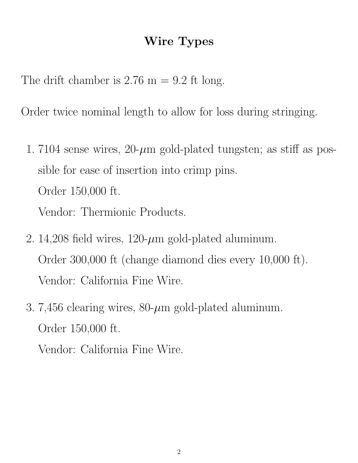#### Wire Types

The drift chamber is  $2.76 \text{ m} = 9.2 \text{ ft long.}$ 

Order twice nominal length to allow for loss during stringing.

- 1. 7104 sense wires,  $20$ - $\mu$ m gold-plated tungsten; as stiff as possible for ease of insertion into crimp pins. Order 150,000 ft. Vendor: Thermionic Products.
- 2. 14,208 field wires,  $120$ - $\mu$ m gold-plated aluminum. Order 300,000 ft (change diamond dies every 10,000 ft). Vendor: California Fine Wire.
- 3. 7,456 clearing wires,  $80-\mu m$  gold-plated aluminum. Order 150,000 ft.

Vendor: California Fine Wire.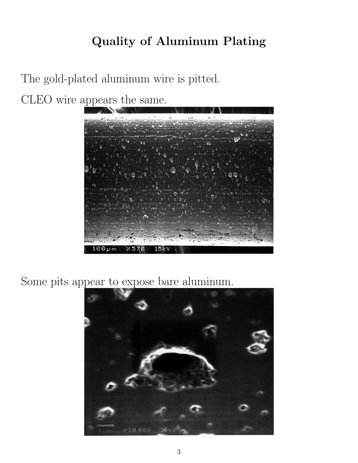# Quality of Aluminum Plating

The gold-plated aluminum wire is pitted. CLEO wire appears the same.



Some pits appear to expose bare aluminum.

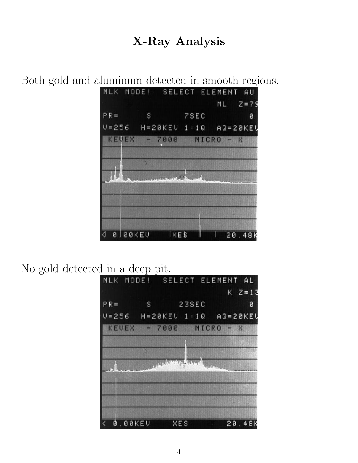#### X-Ray Analysis

Both gold and aluminum detected in smooth regions.



#### No gold detected in a deep pit.

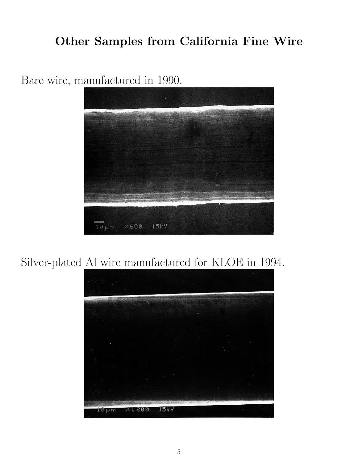### Other Samples from California Fine Wire



Bare wire, manufactured in 1990.

### Silver-plated Al wire manufactured for KLOE in 1994.

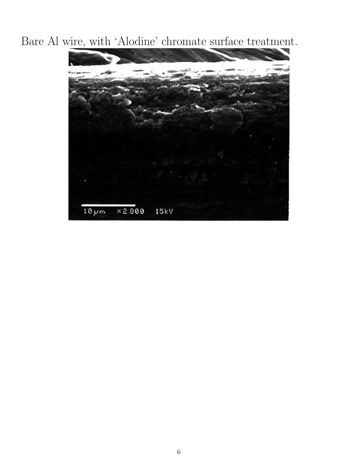Bare Al wire, with 'Alodine' chromate surface treatment.

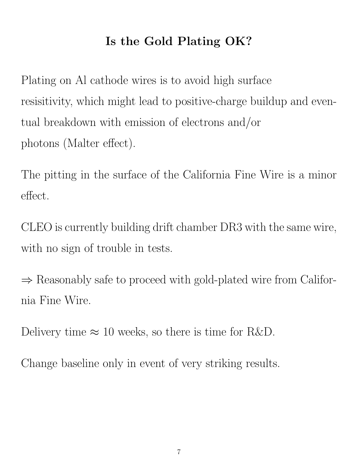# Is the Gold Plating OK?

Plating on Al cathode wires is to avoid high surface resisitivity, which might lead to positive-charge buildup and eventual breakdown with emission of electrons and/or photons (Malter effect).

The pitting in the surface of the California Fine Wire is a minor effect.

CLEO is currently building drift chamber DR3 with the same wire, with no sign of trouble in tests.

⇒ Reasonably safe to proceed with gold-plated wire from California Fine Wire.

Delivery time  $\approx 10$  weeks, so there is time for R&D.

Change baseline only in event of very striking results.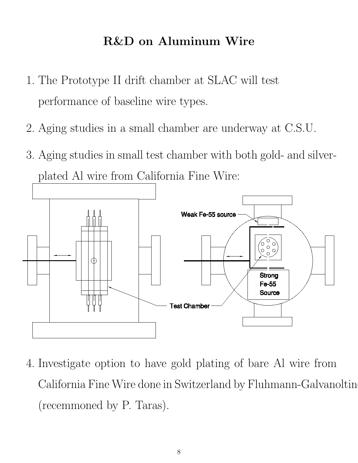### R&D on Aluminum Wire

- 1. The Prototype II drift chamber at SLAC will test performance of baseline wire types.
- 2. Aging studies in a small chamber are underway at C.S.U.
- 3. Aging studies in small test chamber with both gold- and silverplated Al wire from California Fine Wire:



4. Investigate option to have gold plating of bare Al wire from California Fine Wire done in Switzerland by Fluhmann-Galvanoltin (recemmoned by P. Taras).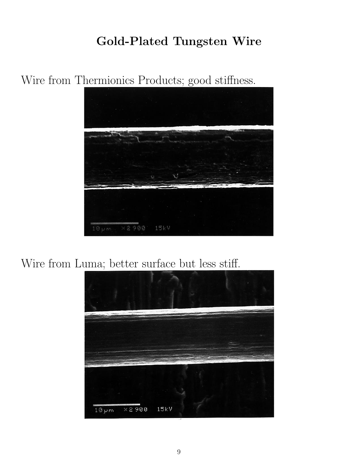# Gold-Plated Tungsten Wire

Wire from Thermionics Products; good stiffness.



Wire from Luma; better surface but less stiff.

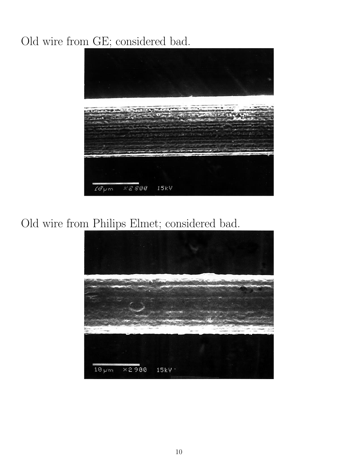# Old wire from GE; considered bad.



Old wire from Philips Elmet; considered bad.